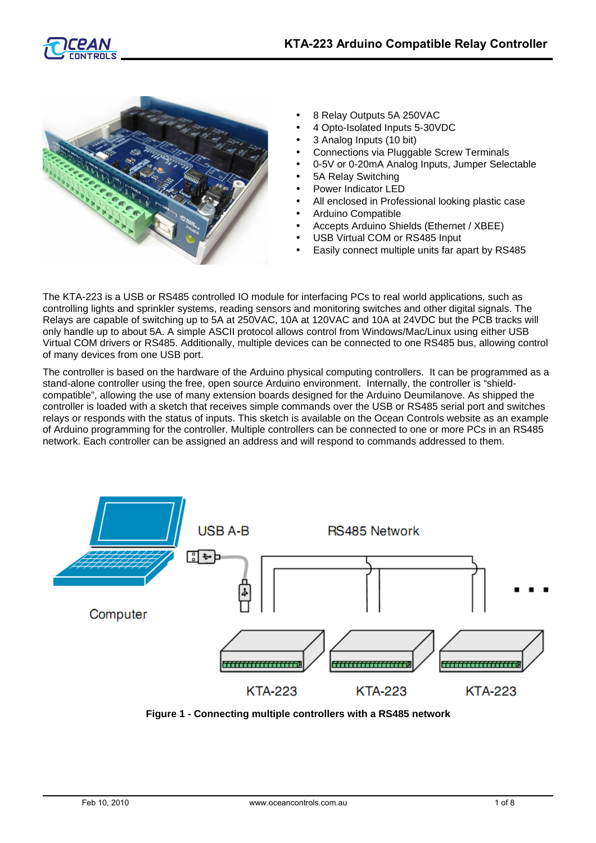



- 8 Relay Outputs 5A 250VAC
- 4 Opto-Isolated Inputs 5-30VDC
- 3 Analog Inputs (10 bit)
- Connections via Pluggable Screw Terminals
- 0-5V or 0-20mA Analog Inputs, Jumper Selectable
- 5A Relay Switching
- Power Indicator LED
- All enclosed in Professional looking plastic case
- Arduino Compatible
- Accepts Arduino Shields (Ethernet / XBEE)
- USB Virtual COM or RS485 Input
- Easily connect multiple units far apart by RS485

The KTA-223 is a USB or RS485 controlled IO module for interfacing PCs to real world applications, such as controlling lights and sprinkler systems, reading sensors and monitoring switches and other digital signals. The Relays are capable of switching up to 5A at 250VAC, 10A at 120VAC and 10A at 24VDC but the PCB tracks will only handle up to about 5A. A simple ASCII protocol allows control from Windows/Mac/Linux using either USB Virtual COM drivers or RS485. Additionally, multiple devices can be connected to one RS485 bus, allowing control of many devices from one USB port.

The controller is based on the hardware of the Arduino physical computing controllers. It can be programmed as a stand-alone controller using the free, open source Arduino environment. Internally, the controller is "shieldcompatible", allowing the use of many extension boards designed for the Arduino Deumilanove. As shipped the controller is loaded with a sketch that receives simple commands over the USB or RS485 serial port and switches relays or responds with the status of inputs. This sketch is available on the Ocean Controls website as an example of Arduino programming for the controller. Multiple controllers can be connected to one or more PCs in an RS485 network. Each controller can be assigned an address and will respond to commands addressed to them.



**Figure 1 - Connecting multiple controllers with a RS485 network**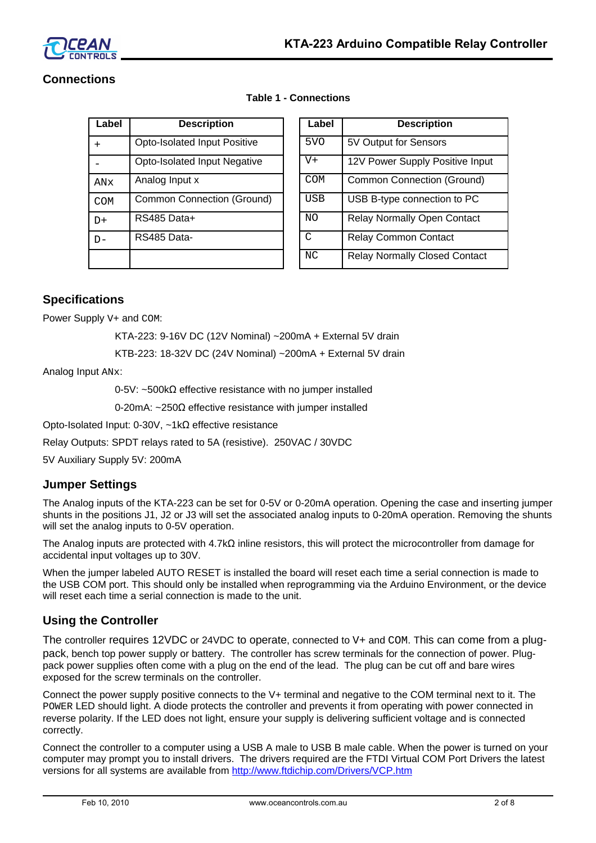

# **Connections**

| Label      | <b>Description</b>                | Label           | <b>Description</b>                  |
|------------|-----------------------------------|-----------------|-------------------------------------|
| $+$        | Opto-Isolated Input Positive      | 5 <sub>VO</sub> | 5V Output for Sensors               |
|            | Opto-Isolated Input Negative      | $V +$           | 12V Power Supply Positive Inp       |
| ANx        | Analog Input x                    | <b>COM</b>      | <b>Common Connection (Ground)</b>   |
| <b>COM</b> | <b>Common Connection (Ground)</b> | <b>USB</b>      | USB B-type connection to PC         |
| $D+$       | RS485 Data+                       | NO              | <b>Relay Normally Open Contact</b>  |
| $D -$      | RS485 Data-                       | C               | <b>Relay Common Contact</b>         |
|            |                                   | NC              | <b>Relay Normally Closed Contac</b> |

| Label | <b>Description</b>                | Label      | <b>Description</b>                   |
|-------|-----------------------------------|------------|--------------------------------------|
| $+$   | Opto-Isolated Input Positive      | 5VO        | 5V Output for Sensors                |
|       | Opto-Isolated Input Negative      | $V +$      | 12V Power Supply Positive Input      |
| ANx   | Analog Input x                    | <b>COM</b> | <b>Common Connection (Ground)</b>    |
| COM   | <b>Common Connection (Ground)</b> | <b>USB</b> | USB B-type connection to PC          |
| D+    | RS485 Data+                       | <b>NO</b>  | <b>Relay Normally Open Contact</b>   |
| $D -$ | RS485 Data-                       | C          | <b>Relay Common Contact</b>          |
|       |                                   | NC.        | <b>Relay Normally Closed Contact</b> |

## **Table 1 - Connections**

# **Specifications**

Power Supply  $V+$  and COM:

KTA-223: 9-16V DC (12V Nominal) ~200mA + External 5V drain

KTB-223: 18-32V DC (24V Nominal) ~200mA + External 5V drain

Analog Input ANx:

0-5V: ~500kΩ effective resistance with no jumper installed

0-20mA: ~250Ω effective resistance with jumper installed

Opto-Isolated Input: 0-30V, ~1kΩ effective resistance

Relay Outputs: SPDT relays rated to 5A (resistive). 250VAC / 30VDC

5V Auxiliary Supply 5V: 200mA

## **Jumper Settings**

The Analog inputs of the KTA-223 can be set for 0-5V or 0-20mA operation. Opening the case and inserting jumper shunts in the positions J1, J2 or J3 will set the associated analog inputs to 0-20mA operation. Removing the shunts will set the analog inputs to 0-5V operation.

The Analog inputs are protected with 4.7kΩ inline resistors, this will protect the microcontroller from damage for accidental input voltages up to 30V.

When the jumper labeled AUTO RESET is installed the board will reset each time a serial connection is made to the USB COM port. This should only be installed when reprogramming via the Arduino Environment, or the device will reset each time a serial connection is made to the unit.

## **Using the Controller**

The controller requires 12VDC or 24VDC to operate, connected to V+ and COM. This can come from a plugpack, bench top power supply or battery. The controller has screw terminals for the connection of power. Plugpack power supplies often come with a plug on the end of the lead. The plug can be cut off and bare wires exposed for the screw terminals on the controller.

Connect the power supply positive connects to the V+ terminal and negative to the COM terminal next to it. The POWER LED should light. A diode protects the controller and prevents it from operating with power connected in reverse polarity. If the LED does not light, ensure your supply is delivering sufficient voltage and is connected correctly.

Connect the controller to a computer using a USB A male to USB B male cable. When the power is turned on your computer may prompt you to install drivers. The drivers required are the FTDI Virtual COM Port Drivers the latest versions for all systems are available from<http://www.ftdichip.com/Drivers/VCP.htm>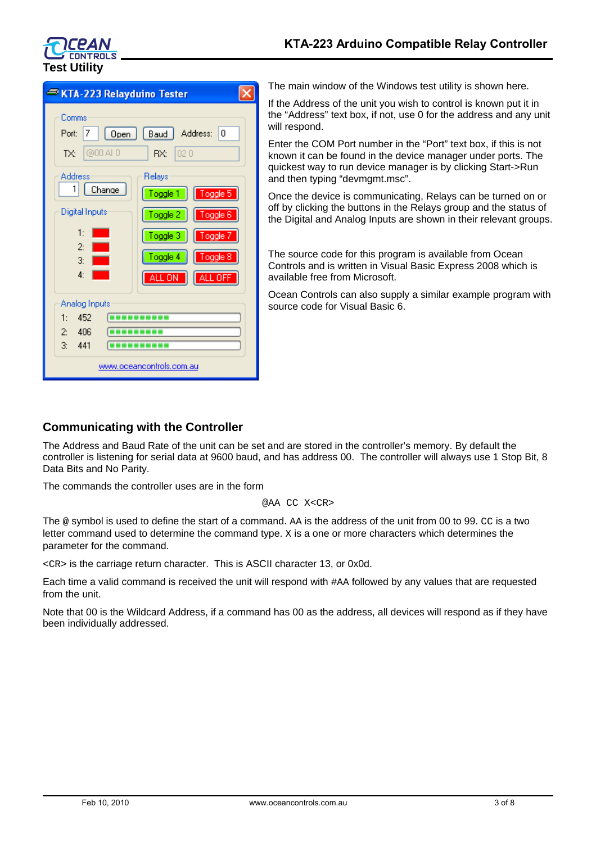

| KTA-223 Relayduino Tester                                                                                                                                                                                                                                                                                        |  |  |  |  |
|------------------------------------------------------------------------------------------------------------------------------------------------------------------------------------------------------------------------------------------------------------------------------------------------------------------|--|--|--|--|
| Comms<br>Address:<br>Baud<br>10<br>Port:<br>7<br>Open<br>@00A0<br>RX:<br>020<br>TX:<br><b>Address</b><br>Relays<br>1<br>Change<br>Toggle 5<br>Toggle 1<br><b>Digital Inputs</b><br>Toggle 2<br>Toggle 6<br>1:<br>Toggle 3<br>Toggle 7<br>$\overline{c}$<br>Toggle 4<br>Toggle 8<br>3:<br>4:<br>ALL OFF<br>ALL ON |  |  |  |  |
| Analog Inputs<br>1:<br>452<br>406<br>$\overline{2}$<br>3: 441<br><u>www.oceancontrols.com.au</u>                                                                                                                                                                                                                 |  |  |  |  |

The main window of the Windows test utility is shown here.

If the Address of the unit you wish to control is known put it in the "Address" text box, if not, use 0 for the address and any unit will respond.

Enter the COM Port number in the "Port" text box, if this is not known it can be found in the device manager under ports. The quickest way to run device manager is by clicking Start->Run and then typing "devmgmt.msc".

Once the device is communicating, Relays can be turned on or off by clicking the buttons in the Relays group and the status of the Digital and Analog Inputs are shown in their relevant groups.

The source code for this program is available from Ocean Controls and is written in Visual Basic Express 2008 which is available free from Microsoft.

Ocean Controls can also supply a similar example program with source code for Visual Basic 6.

## **Communicating with the Controller**

The Address and Baud Rate of the unit can be set and are stored in the controller's memory. By default the controller is listening for serial data at 9600 baud, and has address 00. The controller will always use 1 Stop Bit, 8 Data Bits and No Parity.

The commands the controller uses are in the form

@AA CC X<CR>

The @ symbol is used to define the start of a command. AA is the address of the unit from 00 to 99. CC is a two letter command used to determine the command type. X is a one or more characters which determines the parameter for the command.

<CR> is the carriage return character. This is ASCII character 13, or 0x0d.

Each time a valid command is received the unit will respond with #AA followed by any values that are requested from the unit.

Note that 00 is the Wildcard Address, if a command has 00 as the address, all devices will respond as if they have been individually addressed.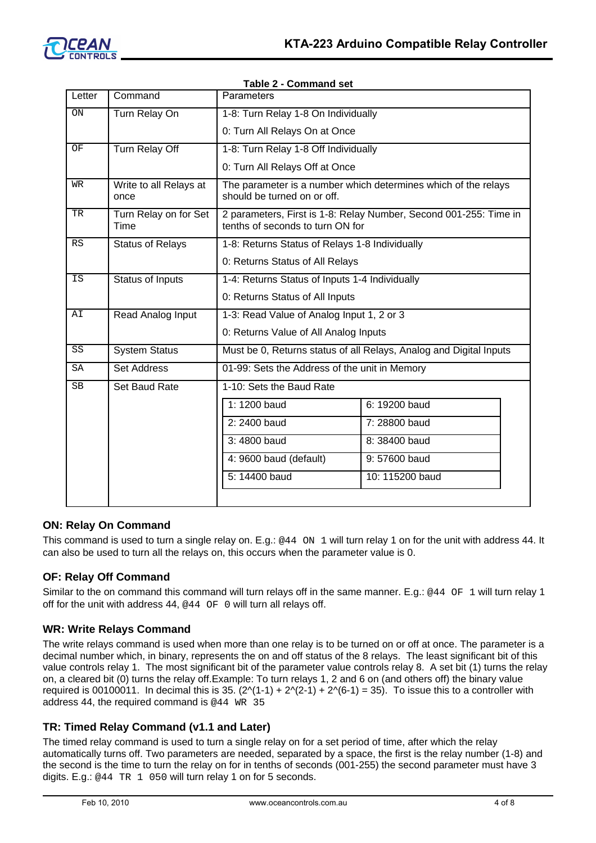

| Letter      | Command                        | $i$ avi $\sigma$ $\lambda$ - Colliniariu Set<br>Parameters                                            |                 |  |
|-------------|--------------------------------|-------------------------------------------------------------------------------------------------------|-----------------|--|
| ON          | Turn Relay On                  | 1-8: Turn Relay 1-8 On Individually                                                                   |                 |  |
|             |                                | 0: Turn All Relays On at Once                                                                         |                 |  |
| OF          | Turn Relay Off                 | 1-8: Turn Relay 1-8 Off Individually                                                                  |                 |  |
|             |                                | 0: Turn All Relays Off at Once                                                                        |                 |  |
| WR          | Write to all Relays at<br>once | The parameter is a number which determines which of the relays<br>should be turned on or off.         |                 |  |
| TR          | Turn Relay on for Set<br>Time  | 2 parameters, First is 1-8: Relay Number, Second 001-255: Time in<br>tenths of seconds to turn ON for |                 |  |
| RS          | <b>Status of Relays</b>        | 1-8: Returns Status of Relays 1-8 Individually                                                        |                 |  |
|             |                                | 0: Returns Status of All Relays                                                                       |                 |  |
| <b>IS</b>   | Status of Inputs               | 1-4: Returns Status of Inputs 1-4 Individually                                                        |                 |  |
|             |                                | 0: Returns Status of All Inputs                                                                       |                 |  |
| AI          | Read Analog Input              | 1-3: Read Value of Analog Input 1, 2 or 3                                                             |                 |  |
|             |                                | 0: Returns Value of All Analog Inputs                                                                 |                 |  |
| $_{\rm SS}$ | <b>System Status</b>           | Must be 0, Returns status of all Relays, Analog and Digital Inputs                                    |                 |  |
| SA          | <b>Set Address</b>             | 01-99: Sets the Address of the unit in Memory                                                         |                 |  |
| <b>SB</b>   | Set Baud Rate                  | 1-10: Sets the Baud Rate                                                                              |                 |  |
|             |                                | 1: 1200 baud                                                                                          | 6: 19200 baud   |  |
|             |                                | 2: 2400 baud                                                                                          | 7: 28800 baud   |  |
|             |                                | 3:4800 baud                                                                                           | 8: 38400 baud   |  |
|             |                                | 4: 9600 baud (default)                                                                                | 9:57600 baud    |  |
|             |                                | 5: 14400 baud                                                                                         | 10: 115200 baud |  |
|             |                                |                                                                                                       |                 |  |

#### **Table 2 - Command set**

## **ON: Relay On Command**

This command is used to turn a single relay on. E.g.: @44 ON 1 will turn relay 1 on for the unit with address 44. It can also be used to turn all the relays on, this occurs when the parameter value is 0.

#### **OF: Relay Off Command**

Similar to the on command this command will turn relays off in the same manner. E.g.: @44 OF 1 will turn relay 1 off for the unit with address 44, @44 OF 0 will turn all relays off.

#### **WR: Write Relays Command**

The write relays command is used when more than one relay is to be turned on or off at once. The parameter is a decimal number which, in binary, represents the on and off status of the 8 relays. The least significant bit of this value controls relay 1. The most significant bit of the parameter value controls relay 8. A set bit (1) turns the relay on, a cleared bit (0) turns the relay off.Example: To turn relays 1, 2 and 6 on (and others off) the binary value required is 00100011. In decimal this is 35.  $(2\sqrt{1-1}) + 2\sqrt{2-1} + 2\sqrt{6-1} = 35$ . To issue this to a controller with address 44, the required command is @44 WR 35

## **TR: Timed Relay Command (v1.1 and Later)**

The timed relay command is used to turn a single relay on for a set period of time, after which the relay automatically turns off. Two parameters are needed, separated by a space, the first is the relay number (1-8) and the second is the time to turn the relay on for in tenths of seconds (001-255) the second parameter must have 3 digits. E.g.: @44 TR 1 050 will turn relay 1 on for 5 seconds.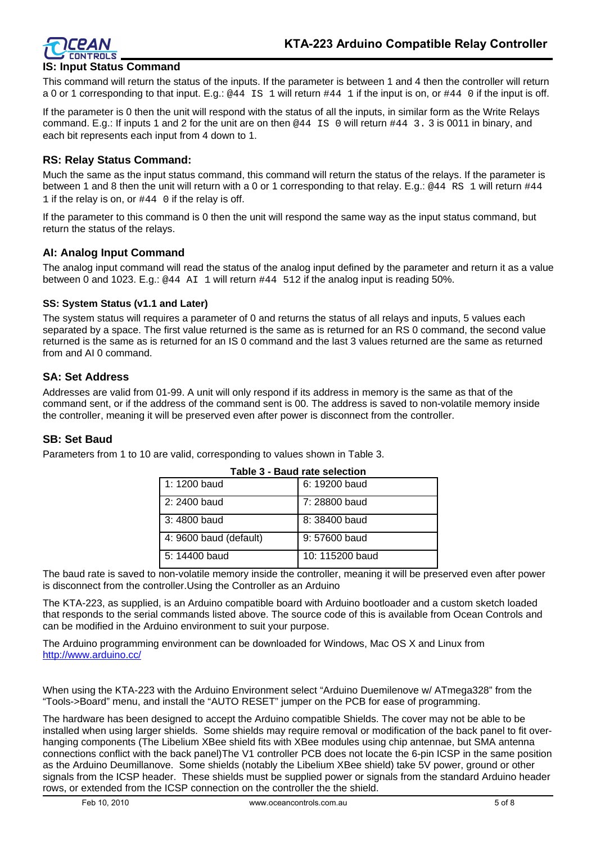

## **IS: Input Status Command**

This command will return the status of the inputs. If the parameter is between 1 and 4 then the controller will return a 0 or 1 corresponding to that input. E.g.: @44 IS 1 will return  $\#44$  1 if the input is on, or  $\#44$  0 if the input is off.

If the parameter is 0 then the unit will respond with the status of all the inputs, in similar form as the Write Relays command. E.g.: If inputs 1 and 2 for the unit are on then @44 IS 0 will return #44 3. 3 is 0011 in binary, and each bit represents each input from 4 down to 1.

#### **RS: Relay Status Command:**

Much the same as the input status command, this command will return the status of the relays. If the parameter is between 1 and 8 then the unit will return with a 0 or 1 corresponding to that relay. E.g.: @44 RS 1 will return  $\#44$ 1 if the relay is on, or  $#44$  0 if the relay is off.

If the parameter to this command is 0 then the unit will respond the same way as the input status command, but return the status of the relays.

### **AI: Analog Input Command**

The analog input command will read the status of the analog input defined by the parameter and return it as a value between 0 and 1023. E.g.: @44 AI 1 will return #44 512 if the analog input is reading 50%.

#### **SS: System Status (v1.1 and Later)**

The system status will requires a parameter of 0 and returns the status of all relays and inputs, 5 values each separated by a space. The first value returned is the same as is returned for an RS 0 command, the second value returned is the same as is returned for an IS 0 command and the last 3 values returned are the same as returned from and AI 0 command.

### **SA: Set Address**

Addresses are valid from 01-99. A unit will only respond if its address in memory is the same as that of the command sent, or if the address of the command sent is 00. The address is saved to non-volatile memory inside the controller, meaning it will be preserved even after power is disconnect from the controller.

#### **SB: Set Baud**

Parameters from 1 to 10 are valid, corresponding to values shown in Table 3.

| <b>Table 3 - Baud rate selection</b> |                 |  |
|--------------------------------------|-----------------|--|
| 1: 1200 baud                         | 6: 19200 baud   |  |
| 2: 2400 baud                         | 7: 28800 baud   |  |
| 3: 4800 baud                         | 8: 38400 baud   |  |
| 4: 9600 baud (default)               | 9:57600 baud    |  |
| 5: 14400 baud                        | 10: 115200 baud |  |

The baud rate is saved to non-volatile memory inside the controller, meaning it will be preserved even after power is disconnect from the controller.Using the Controller as an Arduino

The KTA-223, as supplied, is an Arduino compatible board with Arduino bootloader and a custom sketch loaded that responds to the serial commands listed above. The source code of this is available from Ocean Controls and can be modified in the Arduino environment to suit your purpose.

The Arduino programming environment can be downloaded for Windows, Mac OS X and Linux from <http://www.arduino.cc/>

When using the KTA-223 with the Arduino Environment select "Arduino Duemilenove w/ ATmega328" from the "Tools->Board" menu, and install the "AUTO RESET" jumper on the PCB for ease of programming.

The hardware has been designed to accept the Arduino compatible Shields. The cover may not be able to be installed when using larger shields. Some shields may require removal or modification of the back panel to fit overhanging components (The Libelium XBee shield fits with XBee modules using chip antennae, but SMA antenna connections conflict with the back panel)The V1 controller PCB does not locate the 6-pin ICSP in the same position as the Arduino Deumillanove. Some shields (notably the Libelium XBee shield) take 5V power, ground or other signals from the ICSP header. These shields must be supplied power or signals from the standard Arduino header rows, or extended from the ICSP connection on the controller the the shield.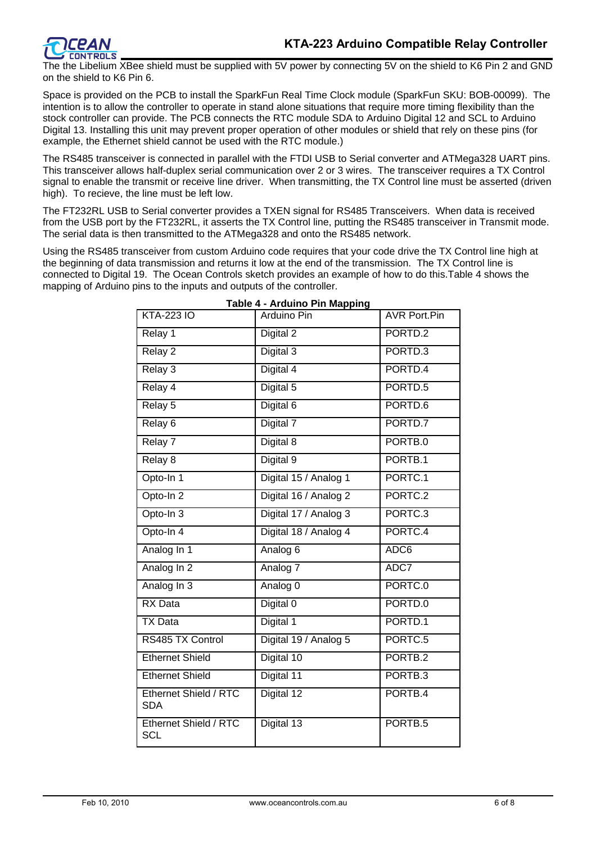

The the Libelium XBee shield must be supplied with 5V power by connecting 5V on the shield to K6 Pin 2 and GND on the shield to K6 Pin 6.

Space is provided on the PCB to install the SparkFun Real Time Clock module (SparkFun SKU: BOB-00099). The intention is to allow the controller to operate in stand alone situations that require more timing flexibility than the stock controller can provide. The PCB connects the RTC module SDA to Arduino Digital 12 and SCL to Arduino Digital 13. Installing this unit may prevent proper operation of other modules or shield that rely on these pins (for example, the Ethernet shield cannot be used with the RTC module.)

The RS485 transceiver is connected in parallel with the FTDI USB to Serial converter and ATMega328 UART pins. This transceiver allows half-duplex serial communication over 2 or 3 wires. The transceiver requires a TX Control signal to enable the transmit or receive line driver. When transmitting, the TX Control line must be asserted (driven high). To recieve, the line must be left low.

The FT232RL USB to Serial converter provides a TXEN signal for RS485 Transceivers. When data is received from the USB port by the FT232RL, it asserts the TX Control line, putting the RS485 transceiver in Transmit mode. The serial data is then transmitted to the ATMega328 and onto the RS485 network.

Using the RS485 transceiver from custom Arduino code requires that your code drive the TX Control line high at the beginning of data transmission and returns it low at the end of the transmission. The TX Control line is connected to Digital 19. The Ocean Controls sketch provides an example of how to do this.Table 4 shows the mapping of Arduino pins to the inputs and outputs of the controller.

| <b>KTA-223 IO</b>                   | <b>Arduino Pin</b>    | <b>AVR Port.Pin</b> |
|-------------------------------------|-----------------------|---------------------|
| Relay 1                             | Digital 2             | PORTD.2             |
| Relay 2                             | Digital 3             | PORTD.3             |
| Relay 3                             | Digital 4             | PORTD.4             |
| Relay 4                             | Digital 5             | PORTD.5             |
| Relay 5                             | Digital 6             | PORTD.6             |
| Relay <sub>6</sub>                  | Digital 7             | PORTD.7             |
| Relay 7                             | Digital 8             | PORTB.0             |
| Relay 8                             | Digital 9             | PORTB.1             |
| Opto-In 1                           | Digital 15 / Analog 1 | PORTC.1             |
| Opto-In <sub>2</sub>                | Digital 16 / Analog 2 | PORTC.2             |
| Opto-In 3                           | Digital 17 / Analog 3 | PORTC.3             |
| Opto-In 4                           | Digital 18 / Analog 4 | PORTC.4             |
| Analog In 1                         | Analog 6              | ADC6                |
| Analog In 2                         | Analog 7              | ADC7                |
| Analog In 3                         | Analog 0              | PORTC.0             |
| <b>RX</b> Data                      | Digital 0             | PORTD.0             |
| <b>TX Data</b>                      | Digital 1             | PORTD.1             |
| RS485 TX Control                    | Digital 19 / Analog 5 | PORTC.5             |
| <b>Ethernet Shield</b>              | Digital 10            | PORTB.2             |
| <b>Ethernet Shield</b>              | Digital 11            | PORTB.3             |
| Ethernet Shield / RTC<br><b>SDA</b> | Digital 12            | PORTB.4             |
| Ethernet Shield / RTC<br><b>SCL</b> | Digital 13            | PORTB.5             |

#### **Table 4 - Arduino Pin Mapping**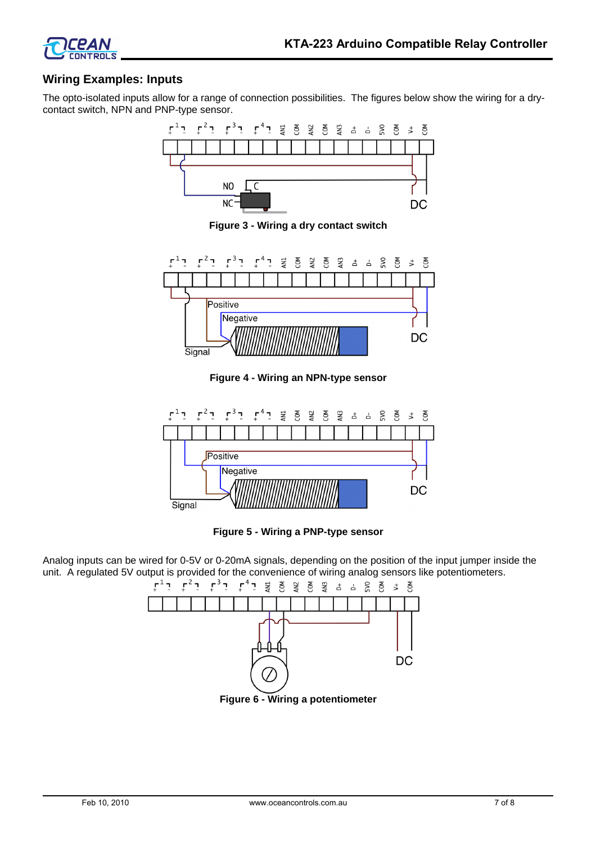

## **Wiring Examples: Inputs**

The opto-isolated inputs allow for a range of connection possibilities. The figures below show the wiring for a drycontact switch, NPN and PNP-type sensor.



**Figure 3 - Wiring a dry contact switch**



**Figure 4 - Wiring an NPN-type sensor**



**Figure 5 - Wiring a PNP-type sensor**

Analog inputs can be wired for 0-5V or 0-20mA signals, depending on the position of the input jumper inside the unit. A regulated 5V output is provided for the convenience of wiring analog sensors like potentiometers.<br>  $\begin{bmatrix} 1 & 1 \end{bmatrix} \begin{bmatrix} 1 & 1 \end{bmatrix} \begin{bmatrix} 1 & 1 \end{bmatrix} \begin{bmatrix} 1 & 1 \end{bmatrix} \begin{bmatrix} 1 & 1 \end{bmatrix} \begin{bmatrix} 1 & 1 \end{bmatrix} \begin{bmatrix} 1 & 1$